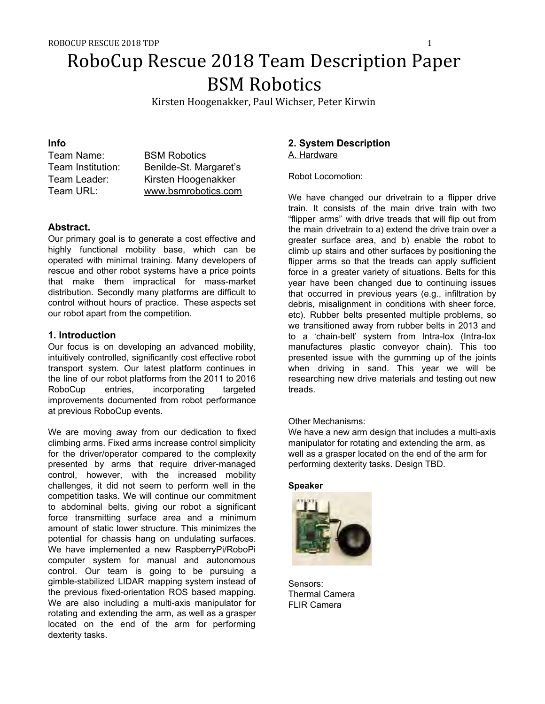# RoboCup Rescue 2018 Team Description Paper BSM Robotics

Kirsten Hoogenakker, Paul Wichser, Peter Kirwin

# **Info**

| Team Name:        | <b>BSM Robotics</b>    |
|-------------------|------------------------|
| Team Institution: | Benilde-St. Margaret's |
| Team Leader:      | Kirsten Hoogenakker    |
| Team URL:         | www.bsmrobotics.com    |

# **Abstract.**

Our primary goal is to generate a cost effective and highly functional mobility base, which can be operated with minimal training. Many developers of rescue and other robot systems have a price points that make them impractical for mass-market distribution. Secondly many platforms are difficult to control without hours of practice. These aspects set our robot apart from the competition.

# **1. Introduction**

Our focus is on developing an advanced mobility, intuitively controlled, significantly cost effective robot transport system. Our latest platform continues in the line of our robot platforms from the 2011 to 2016 RoboCup entries, incorporating targeted improvements documented from robot performance at previous RoboCup events.

We are moving away from our dedication to fixed climbing arms. Fixed arms increase control simplicity for the driver/operator compared to the complexity presented by arms that require driver-managed control, however, with the increased mobility challenges, it did not seem to perform well in the competition tasks. We will continue our commitment to abdominal belts, giving our robot a significant force transmitting surface area and a minimum amount of static lower structure. This minimizes the potential for chassis hang on undulating surfaces. We have implemented a new RaspberryPi/RoboPi computer system for manual and autonomous control. Our team is going to be pursuing a gimble-stabilized LIDAR mapping system instead of the previous fixed-orientation ROS based mapping. We are also including a multi-axis manipulator for rotating and extending the arm, as well as a grasper located on the end of the arm for performing dexterity tasks.

# **2. System Description** A. Hardware

Robot Locomotion:

We have changed our drivetrain to a flipper drive train. It consists of the main drive train with two "flipper arms" with drive treads that will flip out from the main drivetrain to a) extend the drive train over a greater surface area, and b) enable the robot to climb up stairs and other surfaces by positioning the flipper arms so that the treads can apply sufficient force in a greater variety of situations. Belts for this year have been changed due to continuing issues that occurred in previous years (e.g., infiltration by debris, misalignment in conditions with sheer force, etc). Rubber belts presented multiple problems, so we transitioned away from rubber belts in 2013 and to a 'chain-belt' system from Intra-lox (Intra-lox manufactures plastic conveyor chain). This too presented issue with the gumming up of the joints when driving in sand. This year we will be researching new drive materials and testing out new treads.

Other Mechanisms:

We have a new arm design that includes a multi-axis manipulator for rotating and extending the arm, as well as a grasper located on the end of the arm for performing dexterity tasks. Design TBD.

#### **Speaker**



Sensors: Thermal Camera FLIR Camera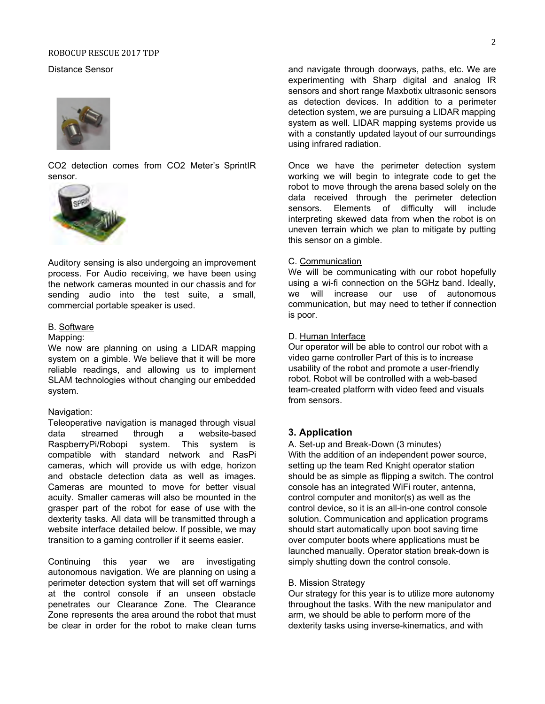#### ROBOCUP RESCUE 2017 TDP

#### Distance Sensor



CO2 detection comes from CO2 Meter's SprintIR sensor.



Auditory sensing is also undergoing an improvement process. For Audio receiving, we have been using the network cameras mounted in our chassis and for sending audio into the test suite, a small, commercial portable speaker is used.

## B. Software

#### Mapping:

We now are planning on using a LIDAR mapping system on a gimble. We believe that it will be more reliable readings, and allowing us to implement SLAM technologies without changing our embedded system.

#### Navigation:

Teleoperative navigation is managed through visual data streamed through a website-based RaspberryPi/Robopi system. This system is compatible with standard network and RasPi cameras, which will provide us with edge, horizon and obstacle detection data as well as images. Cameras are mounted to move for better visual acuity. Smaller cameras will also be mounted in the grasper part of the robot for ease of use with the dexterity tasks. All data will be transmitted through a website interface detailed below. If possible, we may transition to a gaming controller if it seems easier.

Continuing this year we are investigating autonomous navigation. We are planning on using a perimeter detection system that will set off warnings at the control console if an unseen obstacle penetrates our Clearance Zone. The Clearance Zone represents the area around the robot that must be clear in order for the robot to make clean turns and navigate through doorways, paths, etc. We are experimenting with Sharp digital and analog IR sensors and short range Maxbotix ultrasonic sensors as detection devices. In addition to a perimeter detection system, we are pursuing a LIDAR mapping system as well. LIDAR mapping systems provide us with a constantly updated layout of our surroundings using infrared radiation.

Once we have the perimeter detection system working we will begin to integrate code to get the robot to move through the arena based solely on the data received through the perimeter detection sensors. Elements of difficulty will include interpreting skewed data from when the robot is on uneven terrain which we plan to mitigate by putting this sensor on a gimble.

#### C. Communication

We will be communicating with our robot hopefully using a wi-fi connection on the 5GHz band. Ideally, we will increase our use of autonomous communication, but may need to tether if connection is poor.

#### D. Human Interface

Our operator will be able to control our robot with a video game controller Part of this is to increase usability of the robot and promote a user-friendly robot. Robot will be controlled with a web-based team-created platform with video feed and visuals from sensors.

#### **3. Application**

A. Set-up and Break-Down (3 minutes) With the addition of an independent power source, setting up the team Red Knight operator station should be as simple as flipping a switch. The control console has an integrated WiFi router, antenna, control computer and monitor(s) as well as the control device, so it is an all-in-one control console solution. Communication and application programs should start automatically upon boot saving time over computer boots where applications must be launched manually. Operator station break-down is simply shutting down the control console.

#### B. Mission Strategy

Our strategy for this year is to utilize more autonomy throughout the tasks. With the new manipulator and arm, we should be able to perform more of the dexterity tasks using inverse-kinematics, and with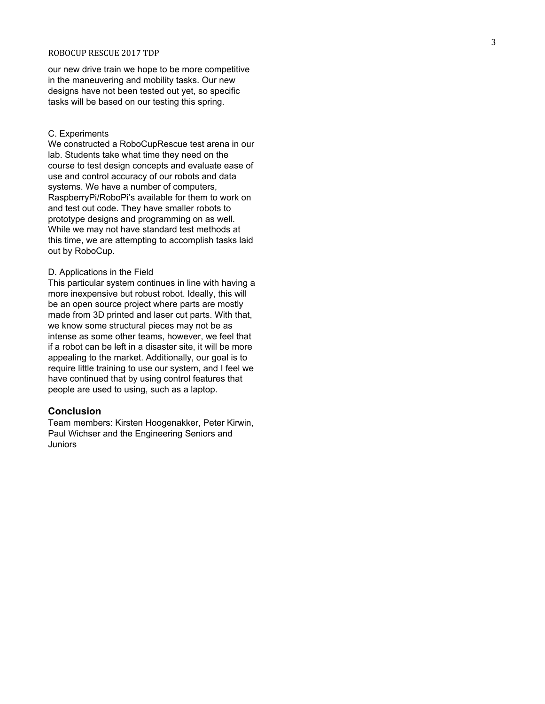#### ROBOCUP RESCUE 2017 TDP

our new drive train we hope to be more competitive in the maneuvering and mobility tasks. Our new designs have not been tested out yet, so specific tasks will be based on our testing this spring.

#### C. Experiments

We constructed a RoboCupRescue test arena in our lab. Students take what time they need on the course to test design concepts and evaluate ease of use and control accuracy of our robots and data systems. We have a number of computers, RaspberryPi/RoboPi's available for them to work on and test out code. They have smaller robots to prototype designs and programming on as well. While we may not have standard test methods at this time, we are attempting to accomplish tasks laid out by RoboCup.

#### D. Applications in the Field

This particular system continues in line with having a more inexpensive but robust robot. Ideally, this will be an open source project where parts are mostly made from 3D printed and laser cut parts. With that, we know some structural pieces may not be as intense as some other teams, however, we feel that if a robot can be left in a disaster site, it will be more appealing to the market. Additionally, our goal is to require little training to use our system, and I feel we have continued that by using control features that people are used to using, such as a laptop.

#### **Conclusion**

Team members: Kirsten Hoogenakker, Peter Kirwin, Paul Wichser and the Engineering Seniors and Juniors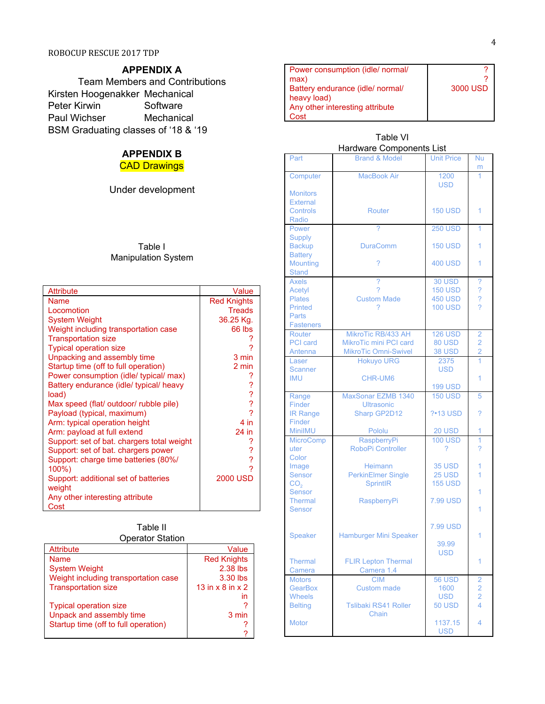# **APPENDIX A**

Team Members and Contributions Kirsten Hoogenakker Mechanical Peter Kirwin Software Paul Wichser Mechanical BSM Graduating classes of '18 & '19

# **APPENDIX B**

**CAD Drawings** 

Under development

## Table I Manipulation System

| <b>Attribute</b>                           | Value                    |
|--------------------------------------------|--------------------------|
| Name                                       | <b>Red Knights</b>       |
| Locomotion                                 | <b>Treads</b>            |
| <b>System Weight</b>                       | 36.25 Kg.                |
| Weight including transportation case       | 66 lbs                   |
| <b>Transportation size</b>                 |                          |
| <b>Typical operation size</b>              |                          |
| Unpacking and assembly time                | 3 min                    |
| Startup time (off to full operation)       | 2 min                    |
| Power consumption (idle/ typical/ max)     |                          |
| Battery endurance (idle/ typical/ heavy    |                          |
| load)                                      | ????                     |
| Max speed (flat/ outdoor/ rubble pile)     |                          |
| Payload (typical, maximum)                 |                          |
| Arm: typical operation height              | 4 in                     |
| Arm: payload at full extend                | 24 in                    |
| Support: set of bat. chargers total weight |                          |
| Support: set of bat. chargers power        | ?                        |
| Support: charge time batteries (80%/       | $\overline{\mathcal{E}}$ |
| 100%)                                      |                          |
| Support: additional set of batteries       | <b>2000 USD</b>          |
| weight                                     |                          |
| Any other interesting attribute            |                          |
| Cost                                       |                          |

#### Table II Operator Station

| <b>Attribute</b>                     | Value                          |  |  |
|--------------------------------------|--------------------------------|--|--|
| <b>Name</b>                          | <b>Red Knights</b>             |  |  |
| <b>System Weight</b>                 | 2.38 lbs                       |  |  |
| Weight including transportation case | 3.30 lbs                       |  |  |
| <b>Transportation size</b>           | 13 in $\times$ 8 in $\times$ 2 |  |  |
|                                      | in                             |  |  |
| <b>Typical operation size</b>        |                                |  |  |
| Unpack and assembly time             | 3 min                          |  |  |
| Startup time (off to full operation) |                                |  |  |
|                                      |                                |  |  |

| Power consumption (idle/ normal/ |          |
|----------------------------------|----------|
| max)                             |          |
| Battery endurance (idle/ normal/ | 3000 USD |
| heavy load)                      |          |
| Any other interesting attribute  |          |
| ?∩st                             |          |

#### Table VI<br>Hardware Compon .<br>Imnonente Liet

|                  | Hardware Components List      |                   |                          |
|------------------|-------------------------------|-------------------|--------------------------|
| Part             | <b>Brand &amp; Model</b>      | <b>Unit Price</b> | Nu                       |
|                  |                               |                   | m                        |
| Computer         | <b>MacBook Air</b>            | 1200              | 1                        |
|                  |                               | <b>USD</b>        |                          |
| <b>Monitors</b>  |                               |                   |                          |
| <b>External</b>  |                               |                   |                          |
| Controls         | Router                        | <b>150 USD</b>    | 1                        |
| Radio            |                               |                   |                          |
|                  |                               |                   |                          |
| Power            |                               | <b>250 USD</b>    | 1                        |
| <b>Supply</b>    |                               |                   |                          |
| <b>Backup</b>    | <b>DuraComm</b>               | <b>150 USD</b>    | 1                        |
| <b>Battery</b>   |                               |                   |                          |
| <b>Mounting</b>  | 2                             | <b>400 USD</b>    | 1                        |
| <b>Stand</b>     |                               |                   |                          |
| <b>Axels</b>     | ż                             | <b>30 USD</b>     | $\overline{\mathcal{C}}$ |
| <b>Acetyl</b>    | 2                             | <b>150 USD</b>    |                          |
| <b>Plates</b>    | <b>Custom Made</b>            | <b>450 USD</b>    | ?<br>?<br>?              |
| <b>Printed</b>   | 7                             | <b>100 USD</b>    |                          |
| Parts            |                               |                   |                          |
| <b>Fasteners</b> |                               |                   |                          |
| <b>Router</b>    | MikroTic RB/433 AH            | <b>126 USD</b>    | $\overline{2}$           |
| <b>PCI</b> card  | MikroTic mini PCI card        | 80 USD            | $\overline{2}$           |
|                  |                               |                   |                          |
| Antenna          | <b>MikroTic Omni-Swivel</b>   | <b>38 USD</b>     | $\overline{2}$           |
| Laser            | <b>Hokuyo URG</b>             | 2375              |                          |
| <b>Scanner</b>   |                               | <b>USD</b>        |                          |
| <b>IMU</b>       | CHR-UM6                       |                   | 1                        |
|                  |                               | <b>199 USD</b>    |                          |
| Range            | MaxSonar EZMB 1340            | <b>150 USD</b>    | 5                        |
| Finder           | <b>Ultrasonic</b>             |                   |                          |
| <b>IR Range</b>  | Sharp GP2D12                  | ?•13 USD          | ?                        |
| Finder           |                               |                   |                          |
| <b>MiniIMU</b>   | Pololu                        | <b>20 USD</b>     | 1                        |
| <b>MicroComp</b> | RaspberryPi                   | <b>100 USD</b>    | 1                        |
| uter             | <b>RoboPi Controller</b>      | ?                 | <sup>2</sup>             |
| Color            |                               |                   |                          |
|                  |                               |                   |                          |
| Image            | <b>Heimann</b>                | <b>35 USD</b>     | 1                        |
| Sensor           | <b>PerkinElmer Single</b>     | 25 USD            | 1                        |
| CO <sub>2</sub>  | <b>SprintIR</b>               | <b>155 USD</b>    |                          |
| <b>Sensor</b>    |                               |                   | 1                        |
| <b>Thermal</b>   | <b>RaspberryPi</b>            | <b>7.99 USD</b>   |                          |
| Sensor           |                               |                   | 1                        |
|                  |                               |                   |                          |
|                  |                               | <b>7.99 USD</b>   |                          |
| <b>Speaker</b>   | <b>Hamburger Mini Speaker</b> |                   | 1                        |
|                  |                               | 39.99             |                          |
|                  |                               | <b>USD</b>        |                          |
| <b>Thermal</b>   | <b>FLIR Lepton Thermal</b>    |                   | 1                        |
| Camera           | Camera 1.4                    |                   |                          |
| <b>Motors</b>    | <b>CIM</b>                    | <b>56 USD</b>     | $\overline{2}$           |
| <b>GearBox</b>   |                               |                   | 2                        |
|                  | <b>Custom made</b>            | 1600              | $\overline{2}$           |
| <b>Wheels</b>    |                               | <b>USD</b>        |                          |
| <b>Belting</b>   | <b>Tslibaki RS41 Roller</b>   | 50 USD            | 4                        |
|                  | Chain                         |                   |                          |
| <b>Motor</b>     |                               | 1137.15           | 4                        |
|                  |                               | <b>USD</b>        |                          |